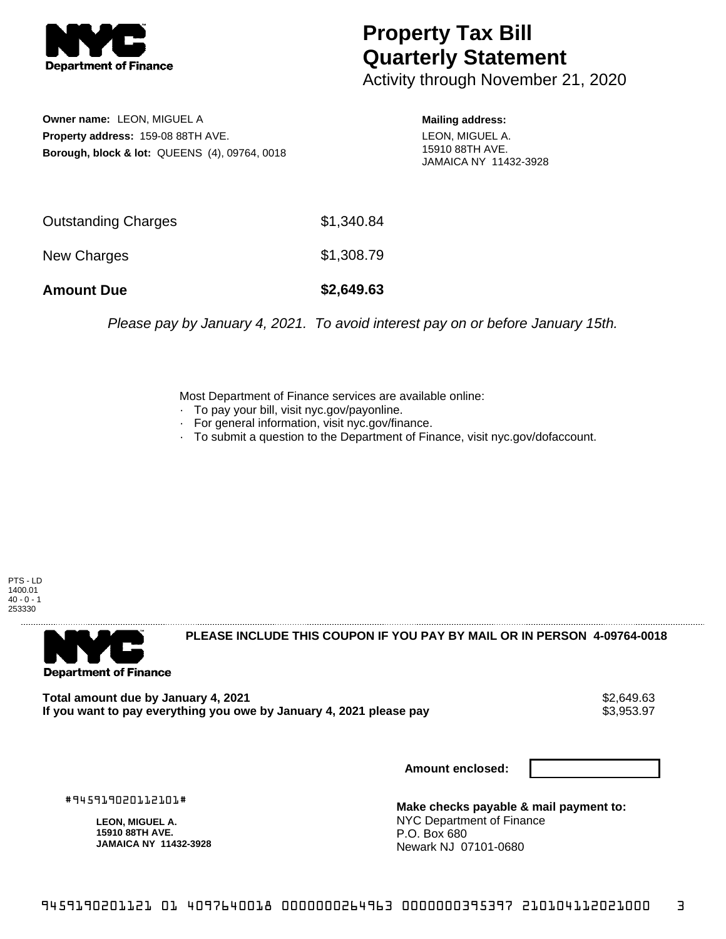

## **Property Tax Bill Quarterly Statement**

Activity through November 21, 2020

**Owner name:** LEON, MIGUEL A **Property address:** 159-08 88TH AVE. **Borough, block & lot:** QUEENS (4), 09764, 0018 **Mailing address:** LEON, MIGUEL A.

15910 88TH AVE. JAMAICA NY 11432-3928

| <b>Amount Due</b>   | \$2,649.63 |
|---------------------|------------|
| New Charges         | \$1,308.79 |
| Outstanding Charges | \$1,340.84 |

Please pay by January 4, 2021. To avoid interest pay on or before January 15th.

Most Department of Finance services are available online:

- · To pay your bill, visit nyc.gov/payonline.
- For general information, visit nyc.gov/finance.
- · To submit a question to the Department of Finance, visit nyc.gov/dofaccount.

PTS - LD 1400.01  $40 - 0 - 1$ 253330



**PLEASE INCLUDE THIS COUPON IF YOU PAY BY MAIL OR IN PERSON 4-09764-0018** 

**Total amount due by January 4, 2021**<br>If you want to pay everything you owe by January 4, 2021 please pay **show that the same of the season of the s** If you want to pay everything you owe by January 4, 2021 please pay

**Amount enclosed:**

#945919020112101#

**LEON, MIGUEL A. 15910 88TH AVE. JAMAICA NY 11432-3928**

**Make checks payable & mail payment to:** NYC Department of Finance P.O. Box 680 Newark NJ 07101-0680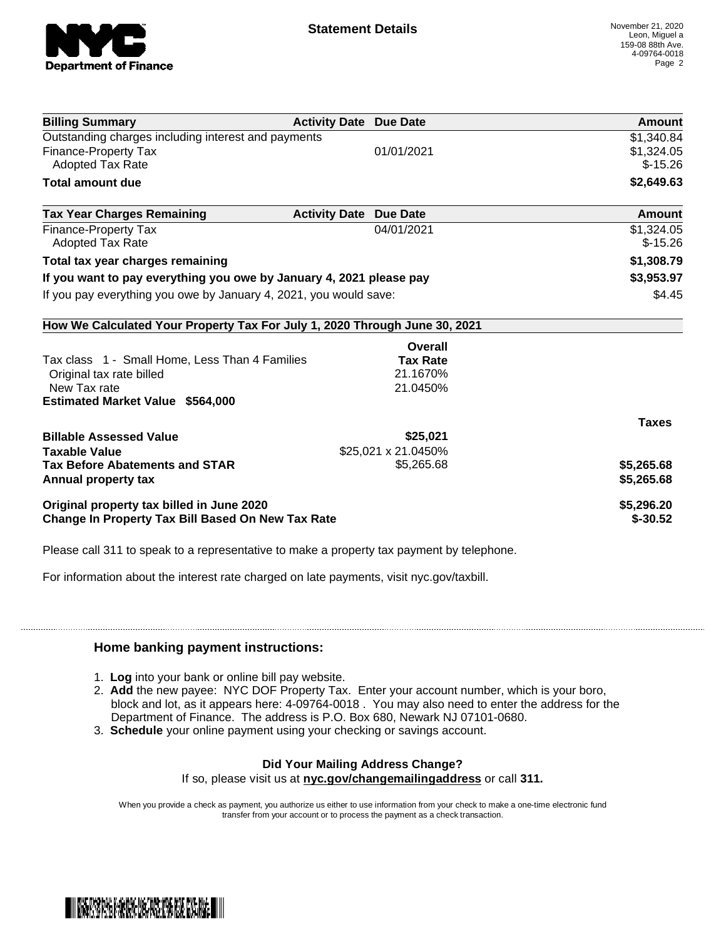

| <b>Billing Summary</b>                                                     | <b>Activity Date Due Date</b>           | Amount       |
|----------------------------------------------------------------------------|-----------------------------------------|--------------|
| Outstanding charges including interest and payments                        |                                         | \$1,340.84   |
| Finance-Property Tax                                                       | 01/01/2021                              | \$1,324.05   |
| <b>Adopted Tax Rate</b>                                                    |                                         | $$-15.26$    |
| <b>Total amount due</b>                                                    |                                         | \$2,649.63   |
| <b>Tax Year Charges Remaining</b>                                          | <b>Activity Date</b><br><b>Due Date</b> | Amount       |
| <b>Finance-Property Tax</b>                                                | 04/01/2021                              | \$1,324.05   |
| <b>Adopted Tax Rate</b>                                                    |                                         | $$-15.26$    |
| Total tax year charges remaining                                           |                                         | \$1,308.79   |
| If you want to pay everything you owe by January 4, 2021 please pay        |                                         | \$3,953.97   |
| If you pay everything you owe by January 4, 2021, you would save:          |                                         | \$4.45       |
| How We Calculated Your Property Tax For July 1, 2020 Through June 30, 2021 |                                         |              |
|                                                                            | Overall                                 |              |
| Tax class 1 - Small Home, Less Than 4 Families                             | <b>Tax Rate</b>                         |              |
| Original tax rate billed                                                   | 21.1670%                                |              |
| New Tax rate                                                               | 21.0450%                                |              |
| <b>Estimated Market Value \$564,000</b>                                    |                                         |              |
|                                                                            |                                         | <b>Taxes</b> |
| <b>Billable Assessed Value</b>                                             | \$25,021                                |              |
| <b>Taxable Value</b>                                                       | \$25,021 x 21.0450%                     |              |
| <b>Tax Before Abatements and STAR</b>                                      | \$5,265.68                              | \$5,265.68   |
| Annual property tax                                                        |                                         | \$5,265.68   |
| Original property tax billed in June 2020                                  |                                         | \$5,296.20   |
| <b>Change In Property Tax Bill Based On New Tax Rate</b>                   |                                         | $$-30.52$    |

Please call 311 to speak to a representative to make a property tax payment by telephone.

For information about the interest rate charged on late payments, visit nyc.gov/taxbill.

## **Home banking payment instructions:**

- 1. **Log** into your bank or online bill pay website.
- 2. **Add** the new payee: NYC DOF Property Tax. Enter your account number, which is your boro, block and lot, as it appears here: 4-09764-0018 . You may also need to enter the address for the Department of Finance. The address is P.O. Box 680, Newark NJ 07101-0680.
- 3. **Schedule** your online payment using your checking or savings account.

## **Did Your Mailing Address Change?**

If so, please visit us at **nyc.gov/changemailingaddress** or call **311.**

When you provide a check as payment, you authorize us either to use information from your check to make a one-time electronic fund transfer from your account or to process the payment as a check transaction.